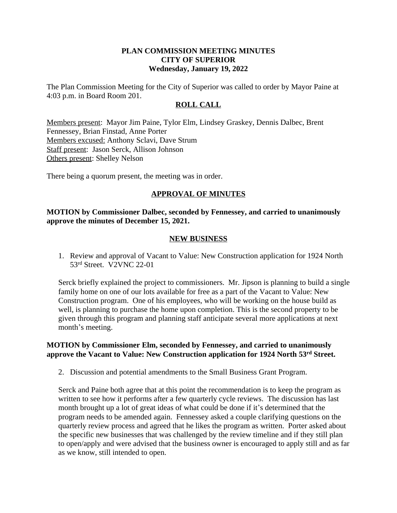#### **PLAN COMMISSION MEETING MINUTES CITY OF SUPERIOR Wednesday, January 19, 2022**

The Plan Commission Meeting for the City of Superior was called to order by Mayor Paine at 4:03 p.m. in Board Room 201.

#### **ROLL CALL**

Members present: Mayor Jim Paine, Tylor Elm, Lindsey Graskey, Dennis Dalbec, Brent Fennessey, Brian Finstad, Anne Porter Members excused: Anthony Sclavi, Dave Strum Staff present: Jason Serck, Allison Johnson Others present: Shelley Nelson

There being a quorum present, the meeting was in order.

# **APPROVAL OF MINUTES**

### **MOTION by Commissioner Dalbec, seconded by Fennessey, and carried to unanimously approve the minutes of December 15, 2021.**

#### **NEW BUSINESS**

1. Review and approval of Vacant to Value: New Construction application for 1924 North 53rd Street. V2VNC 22-01

Serck briefly explained the project to commissioners. Mr. Jipson is planning to build a single family home on one of our lots available for free as a part of the Vacant to Value: New Construction program. One of his employees, who will be working on the house build as well, is planning to purchase the home upon completion. This is the second property to be given through this program and planning staff anticipate several more applications at next month's meeting.

#### **MOTION by Commissioner Elm, seconded by Fennessey, and carried to unanimously approve the Vacant to Value: New Construction application for 1924 North 53rd Street.**

2. Discussion and potential amendments to the Small Business Grant Program.

Serck and Paine both agree that at this point the recommendation is to keep the program as written to see how it performs after a few quarterly cycle reviews. The discussion has last month brought up a lot of great ideas of what could be done if it's determined that the program needs to be amended again. Fennessey asked a couple clarifying questions on the quarterly review process and agreed that he likes the program as written. Porter asked about the specific new businesses that was challenged by the review timeline and if they still plan to open/apply and were advised that the business owner is encouraged to apply still and as far as we know, still intended to open.